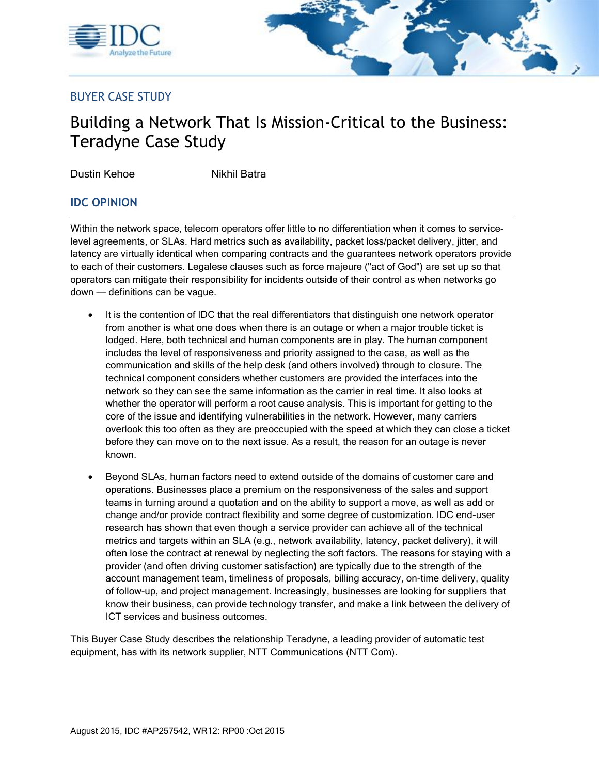



## BUYER CASE STUDY

# Building a Network That Is Mission-Critical to the Business: Teradyne Case Study

Dustin Kehoe Nikhil Batra

## **IDC OPINION**

Within the network space, telecom operators offer little to no differentiation when it comes to servicelevel agreements, or SLAs. Hard metrics such as availability, packet loss/packet delivery, jitter, and latency are virtually identical when comparing contracts and the guarantees network operators provide to each of their customers. Legalese clauses such as force majeure ("act of God") are set up so that operators can mitigate their responsibility for incidents outside of their control as when networks go down — definitions can be vague.

- It is the contention of IDC that the real differentiators that distinguish one network operator from another is what one does when there is an outage or when a major trouble ticket is lodged. Here, both technical and human components are in play. The human component includes the level of responsiveness and priority assigned to the case, as well as the communication and skills of the help desk (and others involved) through to closure. The technical component considers whether customers are provided the interfaces into the network so they can see the same information as the carrier in real time. It also looks at whether the operator will perform a root cause analysis. This is important for getting to the core of the issue and identifying vulnerabilities in the network. However, many carriers overlook this too often as they are preoccupied with the speed at which they can close a ticket before they can move on to the next issue. As a result, the reason for an outage is never known.
- Beyond SLAs, human factors need to extend outside of the domains of customer care and operations. Businesses place a premium on the responsiveness of the sales and support teams in turning around a quotation and on the ability to support a move, as well as add or change and/or provide contract flexibility and some degree of customization. IDC end-user research has shown that even though a service provider can achieve all of the technical metrics and targets within an SLA (e.g., network availability, latency, packet delivery), it will often lose the contract at renewal by neglecting the soft factors. The reasons for staying with a provider (and often driving customer satisfaction) are typically due to the strength of the account management team, timeliness of proposals, billing accuracy, on-time delivery, quality of follow-up, and project management. Increasingly, businesses are looking for suppliers that know their business, can provide technology transfer, and make a link between the delivery of ICT services and business outcomes.

This Buyer Case Study describes the relationship Teradyne, a leading provider of automatic test equipment, has with its network supplier, NTT Communications (NTT Com).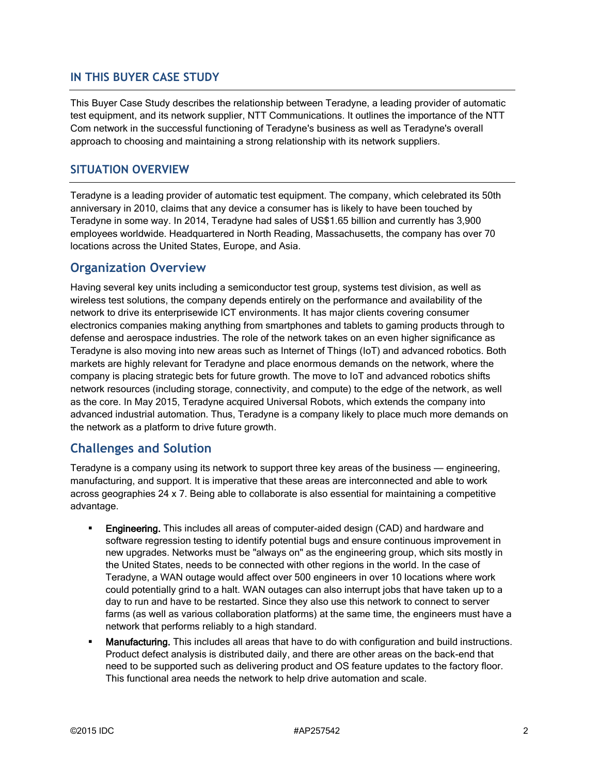#### **IN THIS BUYER CASE STUDY**

This Buyer Case Study describes the relationship between Teradyne, a leading provider of automatic test equipment, and its network supplier, NTT Communications. It outlines the importance of the NTT Com network in the successful functioning of Teradyne's business as well as Teradyne's overall approach to choosing and maintaining a strong relationship with its network suppliers.

### **SITUATION OVERVIEW**

Teradyne is a leading provider of automatic test equipment. The company, which celebrated its 50th anniversary in 2010, claims that any device a consumer has is likely to have been touched by Teradyne in some way. In 2014, Teradyne had sales of US\$1.65 billion and currently has 3,900 employees worldwide. Headquartered in North Reading, Massachusetts, the company has over 70 locations across the United States, Europe, and Asia.

## **Organization Overview**

Having several key units including a semiconductor test group, systems test division, as well as wireless test solutions, the company depends entirely on the performance and availability of the network to drive its enterprisewide ICT environments. It has major clients covering consumer electronics companies making anything from smartphones and tablets to gaming products through to defense and aerospace industries. The role of the network takes on an even higher significance as Teradyne is also moving into new areas such as Internet of Things (IoT) and advanced robotics. Both markets are highly relevant for Teradyne and place enormous demands on the network, where the company is placing strategic bets for future growth. The move to IoT and advanced robotics shifts network resources (including storage, connectivity, and compute) to the edge of the network, as well as the core. In May 2015, Teradyne acquired Universal Robots, which extends the company into advanced industrial automation. Thus, Teradyne is a company likely to place much more demands on the network as a platform to drive future growth.

## **Challenges and Solution**

Teradyne is a company using its network to support three key areas of the business — engineering, manufacturing, and support. It is imperative that these areas are interconnected and able to work across geographies 24 x 7. Being able to collaborate is also essential for maintaining a competitive advantage.

- **Engineering.** This includes all areas of computer-aided design (CAD) and hardware and software regression testing to identify potential bugs and ensure continuous improvement in new upgrades. Networks must be "always on" as the engineering group, which sits mostly in the United States, needs to be connected with other regions in the world. In the case of Teradyne, a WAN outage would affect over 500 engineers in over 10 locations where work could potentially grind to a halt. WAN outages can also interrupt jobs that have taken up to a day to run and have to be restarted. Since they also use this network to connect to server farms (as well as various collaboration platforms) at the same time, the engineers must have a network that performs reliably to a high standard.
- Manufacturing. This includes all areas that have to do with configuration and build instructions. Product defect analysis is distributed daily, and there are other areas on the back-end that need to be supported such as delivering product and OS feature updates to the factory floor. This functional area needs the network to help drive automation and scale.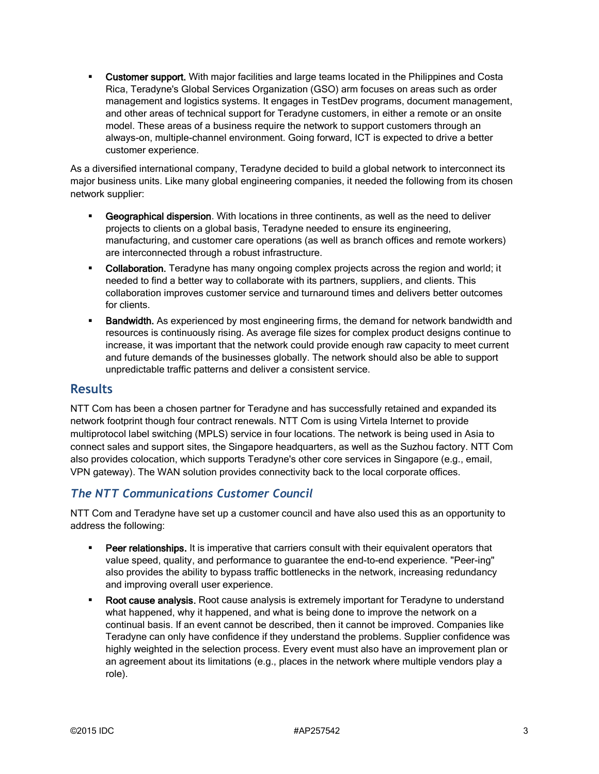**Customer support.** With major facilities and large teams located in the Philippines and Costa Rica, Teradyne's Global Services Organization (GSO) arm focuses on areas such as order management and logistics systems. It engages in TestDev programs, document management, and other areas of technical support for Teradyne customers, in either a remote or an onsite model. These areas of a business require the network to support customers through an always-on, multiple-channel environment. Going forward, ICT is expected to drive a better customer experience.

As a diversified international company, Teradyne decided to build a global network to interconnect its major business units. Like many global engineering companies, it needed the following from its chosen network supplier:

- Geographical dispersion. With locations in three continents, as well as the need to deliver projects to clients on a global basis, Teradyne needed to ensure its engineering, manufacturing, and customer care operations (as well as branch offices and remote workers) are interconnected through a robust infrastructure.
- Collaboration. Teradyne has many ongoing complex projects across the region and world; it needed to find a better way to collaborate with its partners, suppliers, and clients. This collaboration improves customer service and turnaround times and delivers better outcomes for clients.
- Bandwidth. As experienced by most engineering firms, the demand for network bandwidth and resources is continuously rising. As average file sizes for complex product designs continue to increase, it was important that the network could provide enough raw capacity to meet current and future demands of the businesses globally. The network should also be able to support unpredictable traffic patterns and deliver a consistent service.

## **Results**

NTT Com has been a chosen partner for Teradyne and has successfully retained and expanded its network footprint though four contract renewals. NTT Com is using Virtela Internet to provide multiprotocol label switching (MPLS) service in four locations. The network is being used in Asia to connect sales and support sites, the Singapore headquarters, as well as the Suzhou factory. NTT Com also provides colocation, which supports Teradyne's other core services in Singapore (e.g., email, VPN gateway). The WAN solution provides connectivity back to the local corporate offices.

## *The NTT Communications Customer Council*

NTT Com and Teradyne have set up a customer council and have also used this as an opportunity to address the following:

- **Peer relationships.** It is imperative that carriers consult with their equivalent operators that value speed, quality, and performance to guarantee the end-to-end experience. "Peer-ing" also provides the ability to bypass traffic bottlenecks in the network, increasing redundancy and improving overall user experience.
- Root cause analysis. Root cause analysis is extremely important for Teradyne to understand what happened, why it happened, and what is being done to improve the network on a continual basis. If an event cannot be described, then it cannot be improved. Companies like Teradyne can only have confidence if they understand the problems. Supplier confidence was highly weighted in the selection process. Every event must also have an improvement plan or an agreement about its limitations (e.g., places in the network where multiple vendors play a role).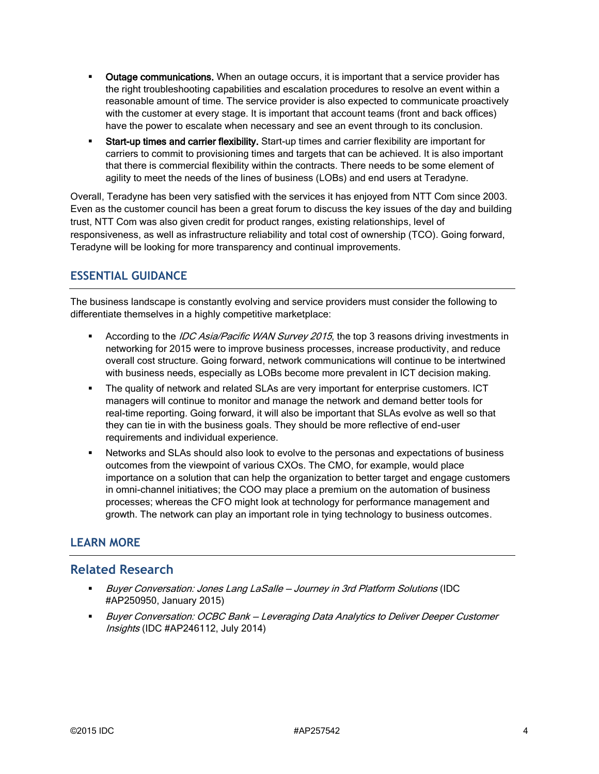- **ULTAGE 1** Outage communications. When an outage occurs, it is important that a service provider has the right troubleshooting capabilities and escalation procedures to resolve an event within a reasonable amount of time. The service provider is also expected to communicate proactively with the customer at every stage. It is important that account teams (front and back offices) have the power to escalate when necessary and see an event through to its conclusion.
- Start-up times and carrier flexibility. Start-up times and carrier flexibility are important for carriers to commit to provisioning times and targets that can be achieved. It is also important that there is commercial flexibility within the contracts. There needs to be some element of agility to meet the needs of the lines of business (LOBs) and end users at Teradyne.

Overall, Teradyne has been very satisfied with the services it has enjoyed from NTT Com since 2003. Even as the customer council has been a great forum to discuss the key issues of the day and building trust, NTT Com was also given credit for product ranges, existing relationships, level of responsiveness, as well as infrastructure reliability and total cost of ownership (TCO). Going forward, Teradyne will be looking for more transparency and continual improvements.

## **ESSENTIAL GUIDANCE**

The business landscape is constantly evolving and service providers must consider the following to differentiate themselves in a highly competitive marketplace:

- **According to the IDC Asia/Pacific WAN Survey 2015, the top 3 reasons driving investments in** networking for 2015 were to improve business processes, increase productivity, and reduce overall cost structure. Going forward, network communications will continue to be intertwined with business needs, especially as LOBs become more prevalent in ICT decision making.
- The quality of network and related SLAs are very important for enterprise customers. ICT managers will continue to monitor and manage the network and demand better tools for real-time reporting. Going forward, it will also be important that SLAs evolve as well so that they can tie in with the business goals. They should be more reflective of end-user requirements and individual experience.
- Networks and SLAs should also look to evolve to the personas and expectations of business outcomes from the viewpoint of various CXOs. The CMO, for example, would place importance on a solution that can help the organization to better target and engage customers in omni-channel initiatives; the COO may place a premium on the automation of business processes; whereas the CFO might look at technology for performance management and growth. The network can play an important role in tying technology to business outcomes.

## **LEARN MORE**

## **Related Research**

- Buyer Conversation: Jones Lang LaSalle Journey in 3rd Platform Solutions (IDC #AP250950, January 2015)
- Buyer Conversation: OCBC Bank Leveraging Data Analytics to Deliver Deeper Customer Insights (IDC #AP246112, July 2014)